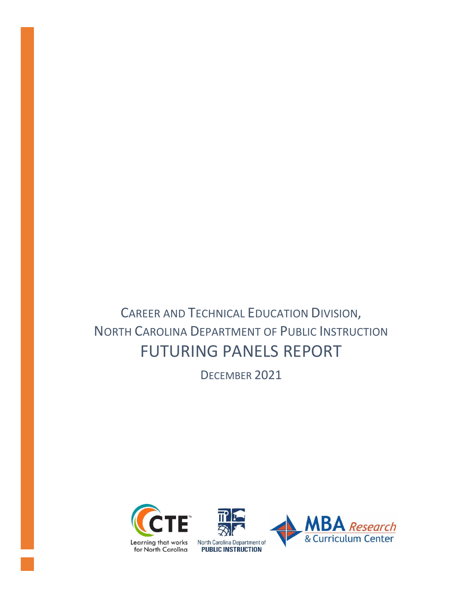# CAREER AND TECHNICAL EDUCATION DIVISION, NORTH CAROLINA DEPARTMENT OF PUBLIC INSTRUCTION FUTURING PANELS REPORT

DECEMBER 2021





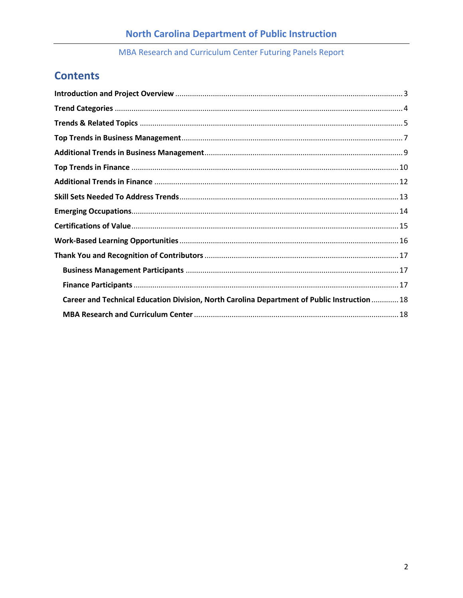# **Contents**

| Career and Technical Education Division, North Carolina Department of Public Instruction  18 |  |
|----------------------------------------------------------------------------------------------|--|
|                                                                                              |  |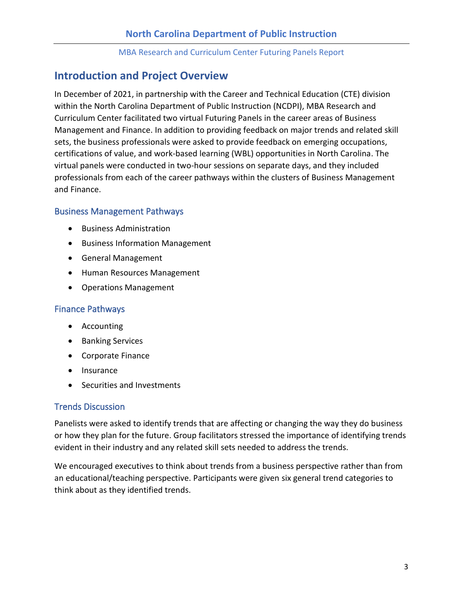# <span id="page-2-0"></span>**Introduction and Project Overview**

In December of 2021, in partnership with the Career and Technical Education (CTE) division within the North Carolina Department of Public Instruction (NCDPI), MBA Research and Curriculum Center facilitated two virtual Futuring Panels in the career areas of Business Management and Finance. In addition to providing feedback on major trends and related skill sets, the business professionals were asked to provide feedback on emerging occupations, certifications of value, and work-based learning (WBL) opportunities in North Carolina. The virtual panels were conducted in two-hour sessions on separate days, and they included professionals from each of the career pathways within the clusters of Business Management and Finance.

#### Business Management Pathways

- Business Administration
- Business Information Management
- General Management
- Human Resources Management
- Operations Management

#### Finance Pathways

- Accounting
- Banking Services
- Corporate Finance
- Insurance
- Securities and Investments

#### Trends Discussion

Panelists were asked to identify trends that are affecting or changing the way they do business or how they plan for the future. Group facilitators stressed the importance of identifying trends evident in their industry and any related skill sets needed to address the trends.

We encouraged executives to think about trends from a business perspective rather than from an educational/teaching perspective. Participants were given six general trend categories to think about as they identified trends.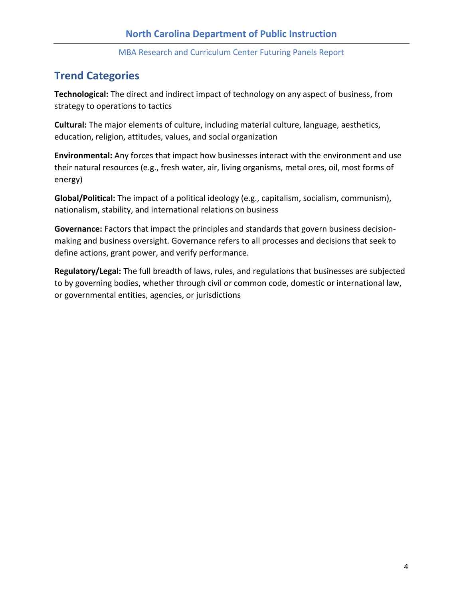# <span id="page-3-0"></span>**Trend Categories**

**Technological:** The direct and indirect impact of technology on any aspect of business, from strategy to operations to tactics

**Cultural:** The major elements of culture, including material culture, language, aesthetics, education, religion, attitudes, values, and social organization

**Environmental:** Any forces that impact how businesses interact with the environment and use their natural resources (e.g., fresh water, air, living organisms, metal ores, oil, most forms of energy)

**Global/Political:** The impact of a political ideology (e.g., capitalism, socialism, communism), nationalism, stability, and international relations on business

**Governance:** Factors that impact the principles and standards that govern business decisionmaking and business oversight. Governance refers to all processes and decisions that seek to define actions, grant power, and verify performance.

**Regulatory/Legal:** The full breadth of laws, rules, and regulations that businesses are subjected to by governing bodies, whether through civil or common code, domestic or international law, or governmental entities, agencies, or jurisdictions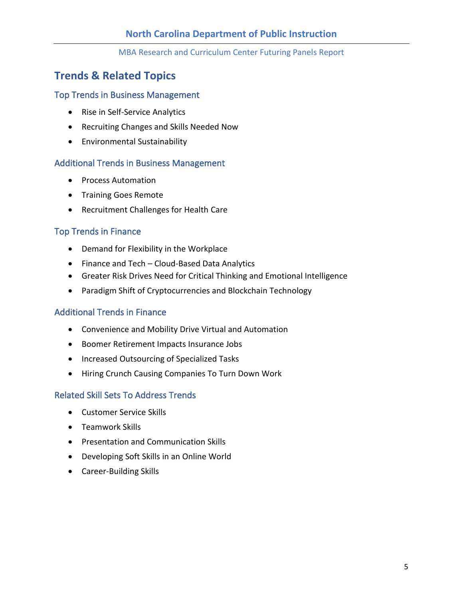# <span id="page-4-0"></span>**Trends & Related Topics**

#### Top Trends in Business Management

- Rise in Self-Service Analytics
- Recruiting Changes and Skills Needed Now
- Environmental Sustainability

#### Additional Trends in Business Management

- Process Automation
- Training Goes Remote
- Recruitment Challenges for Health Care

#### Top Trends in Finance

- Demand for Flexibility in the Workplace
- Finance and Tech Cloud-Based Data Analytics
- Greater Risk Drives Need for Critical Thinking and Emotional Intelligence
- Paradigm Shift of Cryptocurrencies and Blockchain Technology

#### Additional Trends in Finance

- Convenience and Mobility Drive Virtual and Automation
- Boomer Retirement Impacts Insurance Jobs
- Increased Outsourcing of Specialized Tasks
- Hiring Crunch Causing Companies To Turn Down Work

#### Related Skill Sets To Address Trends

- Customer Service Skills
- Teamwork Skills
- Presentation and Communication Skills
- Developing Soft Skills in an Online World
- Career-Building Skills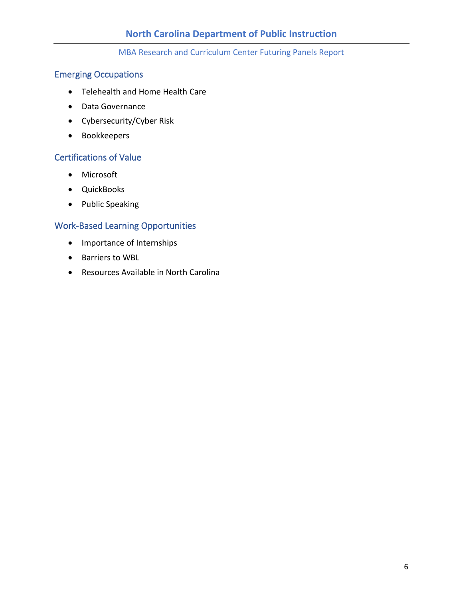#### Emerging Occupations

- Telehealth and Home Health Care
- Data Governance
- Cybersecurity/Cyber Risk
- Bookkeepers

### Certifications of Value

- Microsoft
- QuickBooks
- Public Speaking

#### Work-Based Learning Opportunities

- Importance of Internships
- Barriers to WBL
- Resources Available in North Carolina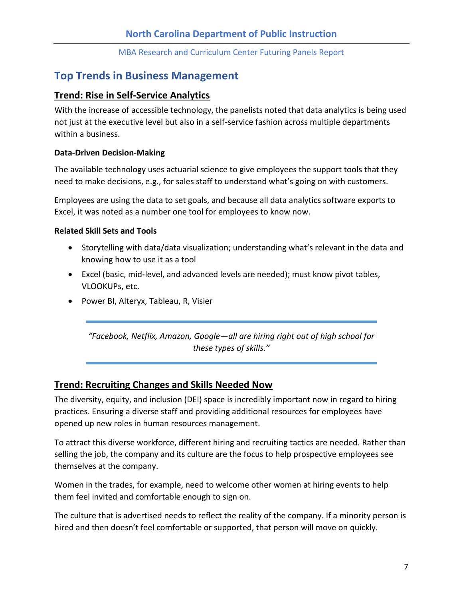# <span id="page-6-0"></span>**Top Trends in Business Management**

# **Trend: Rise in Self-Service Analytics**

With the increase of accessible technology, the panelists noted that data analytics is being used not just at the executive level but also in a self-service fashion across multiple departments within a business.

#### **Data-Driven Decision-Making**

The available technology uses actuarial science to give employees the support tools that they need to make decisions, e.g., for sales staff to understand what's going on with customers.

Employees are using the data to set goals, and because all data analytics software exports to Excel, it was noted as a number one tool for employees to know now.

#### **Related Skill Sets and Tools**

- Storytelling with data/data visualization; understanding what's relevant in the data and knowing how to use it as a tool
- Excel (basic, mid-level, and advanced levels are needed); must know pivot tables, VLOOKUPs, etc.
- Power BI, Alteryx, Tableau, R, Visier

*"Facebook, Netflix, Amazon, Google—all are hiring right out of high school for these types of skills."*

### **Trend: Recruiting Changes and Skills Needed Now**

The diversity, equity, and inclusion (DEI) space is incredibly important now in regard to hiring practices. Ensuring a diverse staff and providing additional resources for employees have opened up new roles in human resources management.

To attract this diverse workforce, different hiring and recruiting tactics are needed. Rather than selling the job, the company and its culture are the focus to help prospective employees see themselves at the company.

Women in the trades, for example, need to welcome other women at hiring events to help them feel invited and comfortable enough to sign on.

The culture that is advertised needs to reflect the reality of the company. If a minority person is hired and then doesn't feel comfortable or supported, that person will move on quickly.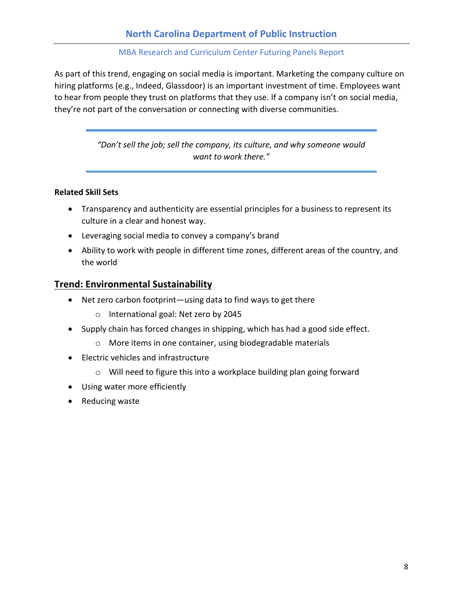# **North Carolina Department of Public Instruction**

#### MBA Research and Curriculum Center Futuring Panels Report

As part of this trend, engaging on social media is important. Marketing the company culture on hiring platforms (e.g., Indeed, Glassdoor) is an important investment of time. Employees want to hear from people they trust on platforms that they use. If a company isn't on social media, they're not part of the conversation or connecting with diverse communities.

> *"Don't sell the job; sell the company, its culture, and why someone would want to work there."*

#### **Related Skill Sets**

- Transparency and authenticity are essential principles for a business to represent its culture in a clear and honest way.
- Leveraging social media to convey a company's brand
- Ability to work with people in different time zones, different areas of the country, and the world

#### **Trend: Environmental Sustainability**

- Net zero carbon footprint—using data to find ways to get there
	- o International goal: Net zero by 2045
- Supply chain has forced changes in shipping, which has had a good side effect.
	- o More items in one container, using biodegradable materials
- Electric vehicles and infrastructure
	- o Will need to figure this into a workplace building plan going forward
- Using water more efficiently
- Reducing waste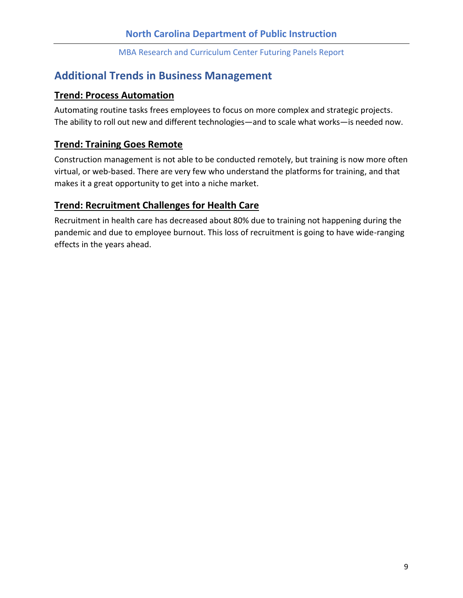# <span id="page-8-0"></span>**Additional Trends in Business Management**

### **Trend: Process Automation**

Automating routine tasks frees employees to focus on more complex and strategic projects. The ability to roll out new and different technologies—and to scale what works—is needed now.

# **Trend: Training Goes Remote**

Construction management is not able to be conducted remotely, but training is now more often virtual, or web-based. There are very few who understand the platforms for training, and that makes it a great opportunity to get into a niche market.

# **Trend: Recruitment Challenges for Health Care**

Recruitment in health care has decreased about 80% due to training not happening during the pandemic and due to employee burnout. This loss of recruitment is going to have wide-ranging effects in the years ahead.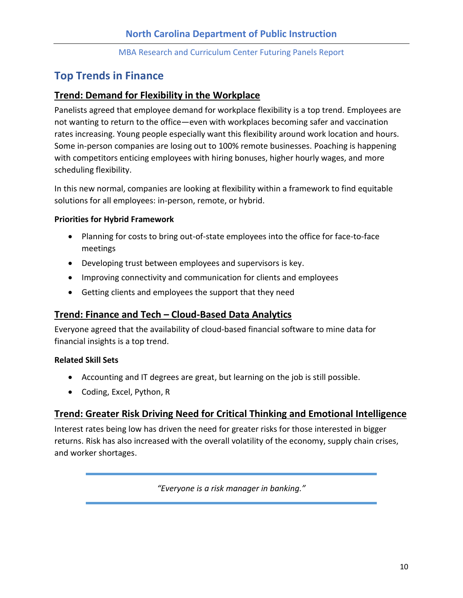# <span id="page-9-0"></span>**Top Trends in Finance**

### **Trend: Demand for Flexibility in the Workplace**

Panelists agreed that employee demand for workplace flexibility is a top trend. Employees are not wanting to return to the office—even with workplaces becoming safer and vaccination rates increasing. Young people especially want this flexibility around work location and hours. Some in-person companies are losing out to 100% remote businesses. Poaching is happening with competitors enticing employees with hiring bonuses, higher hourly wages, and more scheduling flexibility.

In this new normal, companies are looking at flexibility within a framework to find equitable solutions for all employees: in-person, remote, or hybrid.

#### **Priorities for Hybrid Framework**

- Planning for costs to bring out-of-state employees into the office for face-to-face meetings
- Developing trust between employees and supervisors is key.
- Improving connectivity and communication for clients and employees
- Getting clients and employees the support that they need

### **Trend: Finance and Tech – Cloud-Based Data Analytics**

Everyone agreed that the availability of cloud-based financial software to mine data for financial insights is a top trend.

#### **Related Skill Sets**

- Accounting and IT degrees are great, but learning on the job is still possible.
- Coding, Excel, Python, R

### **Trend: Greater Risk Driving Need for Critical Thinking and Emotional Intelligence**

Interest rates being low has driven the need for greater risks for those interested in bigger returns. Risk has also increased with the overall volatility of the economy, supply chain crises, and worker shortages.

*"Everyone is a risk manager in banking."*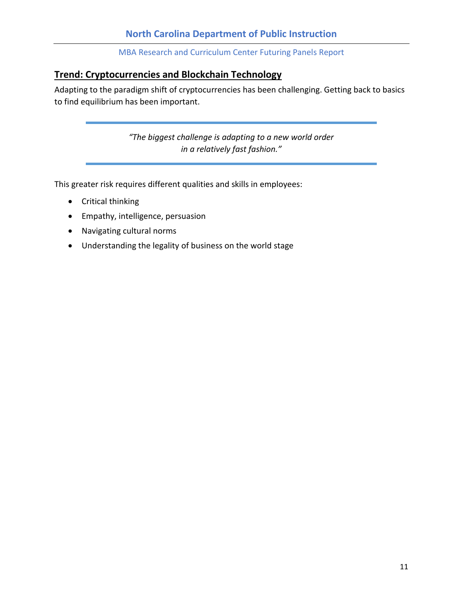### **Trend: Cryptocurrencies and Blockchain Technology**

Adapting to the paradigm shift of cryptocurrencies has been challenging. Getting back to basics to find equilibrium has been important.

> *"The biggest challenge is adapting to a new world order in a relatively fast fashion."*

This greater risk requires different qualities and skills in employees:

- Critical thinking
- Empathy, intelligence, persuasion
- Navigating cultural norms
- Understanding the legality of business on the world stage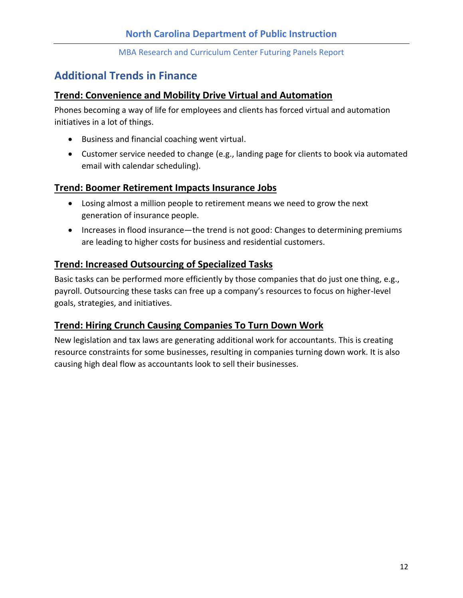# <span id="page-11-0"></span>**Additional Trends in Finance**

# **Trend: Convenience and Mobility Drive Virtual and Automation**

Phones becoming a way of life for employees and clients has forced virtual and automation initiatives in a lot of things.

- Business and financial coaching went virtual.
- Customer service needed to change (e.g., landing page for clients to book via automated email with calendar scheduling).

# **Trend: Boomer Retirement Impacts Insurance Jobs**

- Losing almost a million people to retirement means we need to grow the next generation of insurance people.
- Increases in flood insurance—the trend is not good: Changes to determining premiums are leading to higher costs for business and residential customers.

# **Trend: Increased Outsourcing of Specialized Tasks**

Basic tasks can be performed more efficiently by those companies that do just one thing, e.g., payroll. Outsourcing these tasks can free up a company's resources to focus on higher-level goals, strategies, and initiatives.

# **Trend: Hiring Crunch Causing Companies To Turn Down Work**

New legislation and tax laws are generating additional work for accountants. This is creating resource constraints for some businesses, resulting in companies turning down work. It is also causing high deal flow as accountants look to sell their businesses.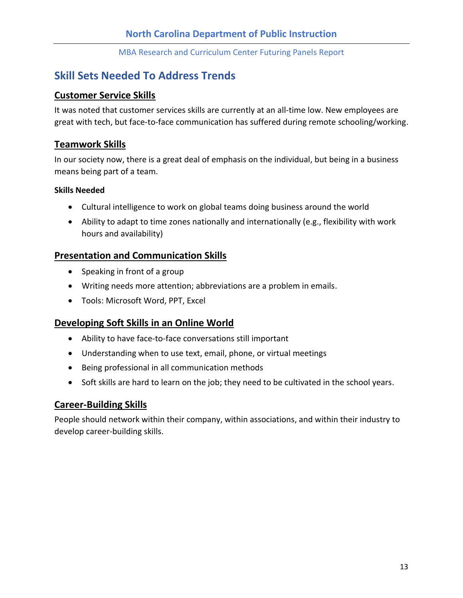# <span id="page-12-0"></span>**Skill Sets Needed To Address Trends**

# **Customer Service Skills**

It was noted that customer services skills are currently at an all-time low. New employees are great with tech, but face-to-face communication has suffered during remote schooling/working.

# **Teamwork Skills**

In our society now, there is a great deal of emphasis on the individual, but being in a business means being part of a team.

#### **Skills Needed**

- Cultural intelligence to work on global teams doing business around the world
- Ability to adapt to time zones nationally and internationally (e.g., flexibility with work hours and availability)

### **Presentation and Communication Skills**

- Speaking in front of a group
- Writing needs more attention; abbreviations are a problem in emails.
- Tools: Microsoft Word, PPT, Excel

### **Developing Soft Skills in an Online World**

- Ability to have face-to-face conversations still important
- Understanding when to use text, email, phone, or virtual meetings
- Being professional in all communication methods
- Soft skills are hard to learn on the job; they need to be cultivated in the school years.

### **Career-Building Skills**

People should network within their company, within associations, and within their industry to develop career-building skills.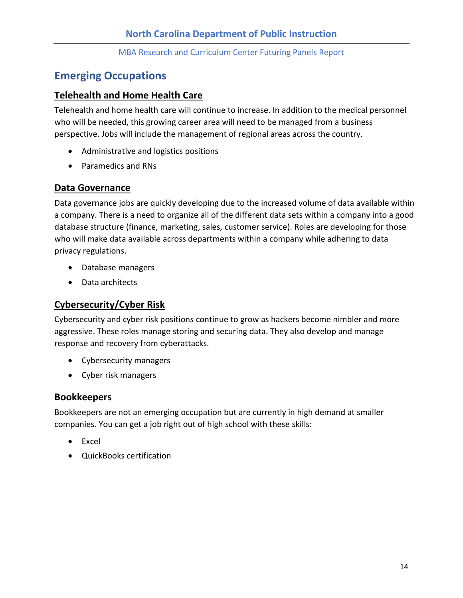# <span id="page-13-0"></span>**Emerging Occupations**

# **Telehealth and Home Health Care**

Telehealth and home health care will continue to increase. In addition to the medical personnel who will be needed, this growing career area will need to be managed from a business perspective. Jobs will include the management of regional areas across the country.

- Administrative and logistics positions
- Paramedics and RNs

### **Data Governance**

Data governance jobs are quickly developing due to the increased volume of data available within a company. There is a need to organize all of the different data sets within a company into a good database structure (finance, marketing, sales, customer service). Roles are developing for those who will make data available across departments within a company while adhering to data privacy regulations.

- Database managers
- Data architects

# **Cybersecurity/Cyber Risk**

Cybersecurity and cyber risk positions continue to grow as hackers become nimbler and more aggressive. These roles manage storing and securing data. They also develop and manage response and recovery from cyberattacks.

- Cybersecurity managers
- Cyber risk managers

### **Bookkeepers**

Bookkeepers are not an emerging occupation but are currently in high demand at smaller companies. You can get a job right out of high school with these skills:

- Excel
- QuickBooks certification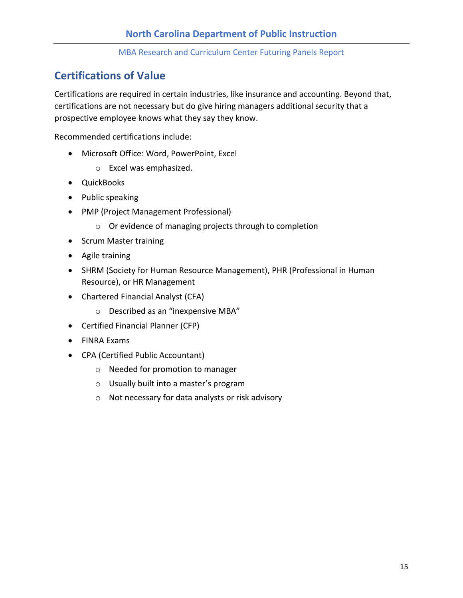# <span id="page-14-0"></span>**Certifications of Value**

Certifications are required in certain industries, like insurance and accounting. Beyond that, certifications are not necessary but do give hiring managers additional security that a prospective employee knows what they say they know.

Recommended certifications include:

- Microsoft Office: Word, PowerPoint, Excel
	- o Excel was emphasized.
- QuickBooks
- Public speaking
- PMP (Project Management Professional)
	- o Or evidence of managing projects through to completion
- Scrum Master training
- Agile training
- SHRM (Society for Human Resource Management), PHR (Professional in Human Resource), or HR Management
- Chartered Financial Analyst (CFA)
	- o Described as an "inexpensive MBA"
- Certified Financial Planner (CFP)
- FINRA Exams
- CPA (Certified Public Accountant)
	- o Needed for promotion to manager
	- o Usually built into a master's program
	- o Not necessary for data analysts or risk advisory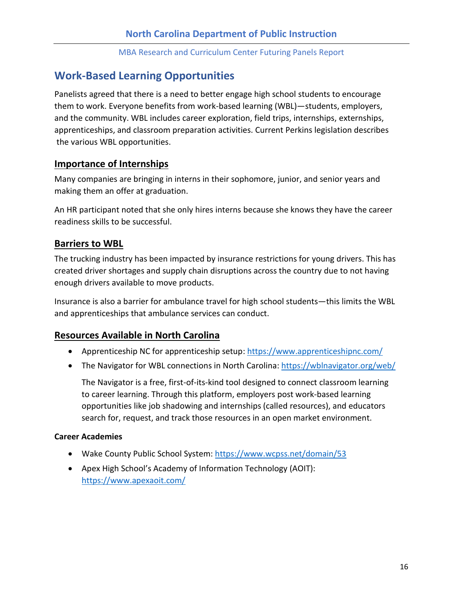# <span id="page-15-0"></span>**Work-Based Learning Opportunities**

Panelists agreed that there is a need to better engage high school students to encourage them to work. Everyone benefits from work-based learning (WBL)—students, employers, and the community. WBL includes career exploration, field trips, internships, externships, apprenticeships, and classroom preparation activities. Current Perkins legislation describes the various WBL opportunities.

#### **Importance of Internships**

Many companies are bringing in interns in their sophomore, junior, and senior years and making them an offer at graduation.

An HR participant noted that she only hires interns because she knows they have the career readiness skills to be successful.

#### **Barriers to WBL**

The trucking industry has been impacted by insurance restrictions for young drivers. This has created driver shortages and supply chain disruptions across the country due to not having enough drivers available to move products.

Insurance is also a barrier for ambulance travel for high school students—this limits the WBL and apprenticeships that ambulance services can conduct.

### **Resources Available in North Carolina**

- Apprenticeship NC for apprenticeship setup: <https://www.apprenticeshipnc.com/>
- The Navigator for WBL connections in North Carolina:<https://wblnavigator.org/web/>

The Navigator is a free, first-of-its-kind tool designed to connect classroom learning to career learning. Through this platform, employers post work-based learning opportunities like job shadowing and internships (called resources), and educators search for, request, and track those resources in an open market environment.

#### **Career Academies**

- Wake County Public School System:<https://www.wcpss.net/domain/53>
- Apex High School's Academy of Information Technology (AOIT): <https://www.apexaoit.com/>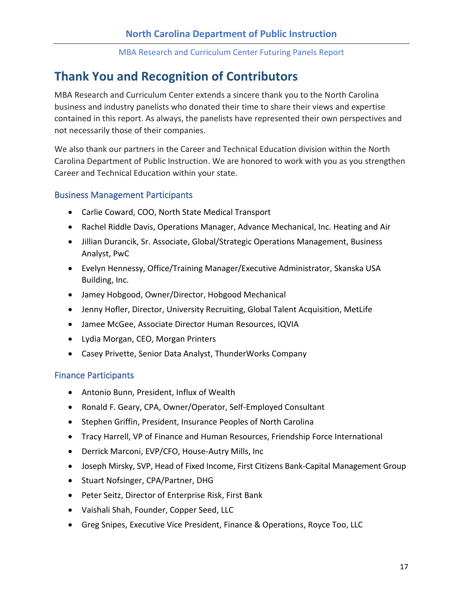# <span id="page-16-0"></span>**Thank You and Recognition of Contributors**

MBA Research and Curriculum Center extends a sincere thank you to the North Carolina business and industry panelists who donated their time to share their views and expertise contained in this report. As always, the panelists have represented their own perspectives and not necessarily those of their companies.

We also thank our partners in the Career and Technical Education division within the North Carolina Department of Public Instruction. We are honored to work with you as you strengthen Career and Technical Education within your state.

#### <span id="page-16-1"></span>Business Management Participants

- Carlie Coward, COO, North State Medical Transport
- Rachel Riddle Davis, Operations Manager, Advance Mechanical, Inc. Heating and Air
- Jillian Durancik, Sr. Associate, Global/Strategic Operations Management, Business Analyst, PwC
- Evelyn Hennessy, Office/Training Manager/Executive Administrator, Skanska USA Building, Inc.
- Jamey Hobgood, Owner/Director, Hobgood Mechanical
- Jenny Hofler, Director, University Recruiting, Global Talent Acquisition, MetLife
- Jamee McGee, Associate Director Human Resources, IQVIA
- Lydia Morgan, CEO, Morgan Printers
- Casey Privette, Senior Data Analyst, ThunderWorks Company

#### <span id="page-16-2"></span>Finance Participants

- Antonio Bunn, President, Influx of Wealth
- Ronald F. Geary, CPA, Owner/Operator, Self-Employed Consultant
- Stephen Griffin, President, Insurance Peoples of North Carolina
- Tracy Harrell, VP of Finance and Human Resources, Friendship Force International
- Derrick Marconi, EVP/CFO, House-Autry Mills, Inc
- Joseph Mirsky, SVP, Head of Fixed Income, First Citizens Bank-Capital Management Group
- Stuart Nofsinger, CPA/Partner, DHG
- Peter Seitz, Director of Enterprise Risk, First Bank
- Vaishali Shah, Founder, Copper Seed, LLC
- Greg Snipes, Executive Vice President, Finance & Operations, Royce Too, LLC